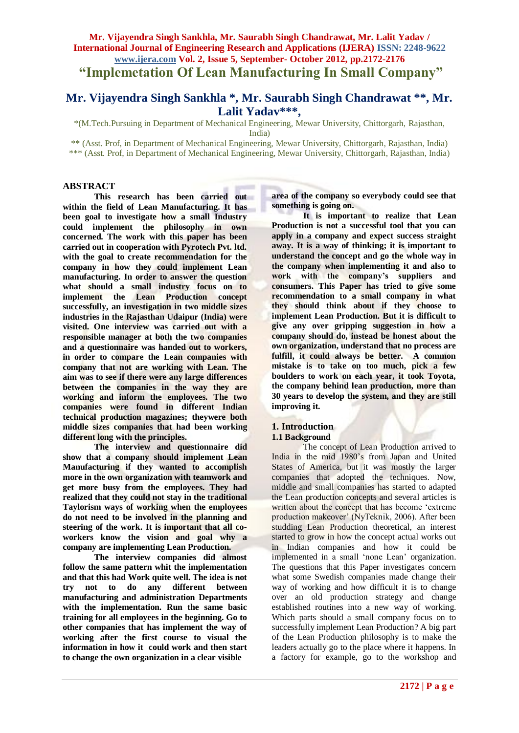# **Mr. Vijayendra Singh Sankhla, Mr. Saurabh Singh Chandrawat, Mr. Lalit Yadav / International Journal of Engineering Research and Applications (IJERA) ISSN: 2248-9622 www.ijera.com Vol. 2, Issue 5, September- October 2012, pp.2172-2176 "Implemetation Of Lean Manufacturing In Small Company"**

# **Mr. Vijayendra Singh Sankhla \*, Mr. Saurabh Singh Chandrawat \*\*, Mr. Lalit Yadav\*\*\*,**

\*(M.Tech.Pursuing in Department of Mechanical Engineering, Mewar University, Chittorgarh, Rajasthan, India)

\*\* (Asst. Prof, in Department of Mechanical Engineering, Mewar University, Chittorgarh, Rajasthan, India) \*\*\* (Asst. Prof, in Department of Mechanical Engineering, Mewar University, Chittorgarh, Rajasthan, India)

### **ABSTRACT**

**This research has been carried out within the field of Lean Manufacturing. It has been goal to investigate how a small Industry could implement the philosophy in own concerned. The work with this paper has been carried out in cooperation with Pyrotech Pvt. ltd. with the goal to create recommendation for the company in how they could implement Lean manufacturing. In order to answer the question what should a small industry focus on to implement the Lean Production concept successfully, an investigation in two middle sizes industries in the Rajasthan Udaipur (India) were visited. One interview was carried out with a responsible manager at both the two companies and a questionnaire was handed out to workers, in order to compare the Lean companies with company that not are working with Lean. The aim was to see if there were any large differences between the companies in the way they are working and inform the employees. The two companies were found in different Indian technical production magazines; theywere both middle sizes companies that had been working different long with the principles.**

**The interview and questionnaire did show that a company should implement Lean Manufacturing if they wanted to accomplish more in the own organization with teamwork and get more busy from the employees. They had realized that they could not stay in the traditional Taylorism ways of working when the employees do not need to be involved in the planning and steering of the work. It is important that all coworkers know the vision and goal why a company are implementing Lean Production.**

**The interview companies did almost follow the same pattern whit the implementation and that this had Work quite well. The idea is not try not to do any different between manufacturing and administration Departments with the implementation. Run the same basic training for all employees in the beginning. Go to other companies that has implement the way of working after the first course to visual the information in how it could work and then start to change the own organization in a clear visible** 

**area of the company so everybody could see that something is going on.**

**It is important to realize that Lean Production is not a successful tool that you can apply in a company and expect success straight away. It is a way of thinking; it is important to understand the concept and go the whole way in the company when implementing it and also to work with the company's suppliers and consumers. This Paper has tried to give some recommendation to a small company in what they should think about if they choose to implement Lean Production. But it is difficult to give any over gripping suggestion in how a company should do, instead be honest about the own organization, understand that no process are fulfill, it could always be better. A common mistake is to take on too much, pick a few boulders to work on each year, it took Toyota, the company behind lean production, more than 30 years to develop the system, and they are still improving it.**

# **1. Introduction**

### **1.1 Background**

The concept of Lean Production arrived to India in the mid 1980's from Japan and United States of America, but it was mostly the larger companies that adopted the techniques. Now, middle and small companies has started to adapted the Lean production concepts and several articles is written about the concept that has become 'extreme production makeover' (NyTeknik, 2006). After been studding Lean Production theoretical, an interest started to grow in how the concept actual works out in Indian companies and how it could be implemented in a small 'none Lean' organization. The questions that this Paper investigates concern what some Swedish companies made change their way of working and how difficult it is to change over an old production strategy and change established routines into a new way of working. Which parts should a small company focus on to successfully implement Lean Production? A big part of the Lean Production philosophy is to make the leaders actually go to the place where it happens. In a factory for example, go to the workshop and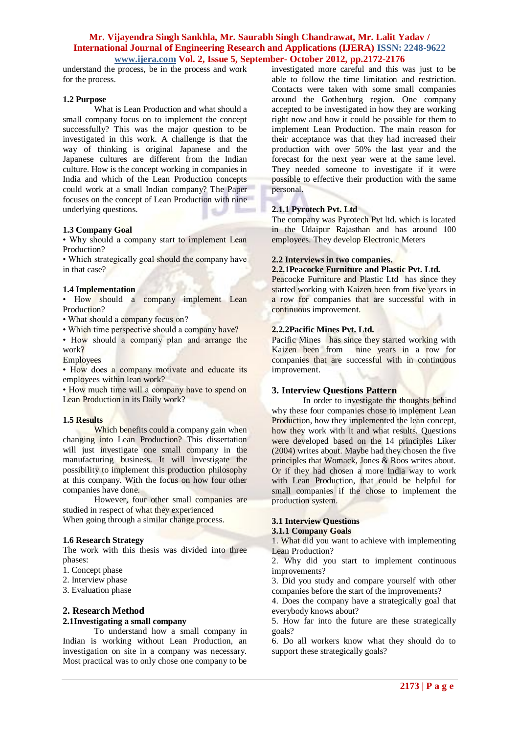understand the process, be in the process and work for the process.

#### **1.2 Purpose**

What is Lean Production and what should a small company focus on to implement the concept successfully? This was the major question to be investigated in this work. A challenge is that the way of thinking is original Japanese and the Japanese cultures are different from the Indian culture. How is the concept working in companies in India and which of the Lean Production concepts could work at a small Indian company? The Paper focuses on the concept of Lean Production with nine underlying questions.

#### **1.3 Company Goal**

• Why should a company start to implement Lean Production?

• Which strategically goal should the company have in that case?

#### **1.4 Implementation**

• How should a company implement Lean Production?

• What should a company focus on?

• Which time perspective should a company have?

• How should a company plan and arrange the work?

### **Employees**

• How does a company motivate and educate its employees within lean work?

• How much time will a company have to spend on Lean Production in its Daily work?

### **1.5 Results**

Which benefits could a company gain when changing into Lean Production? This dissertation will just investigate one small company in the manufacturing business. It will investigate the possibility to implement this production philosophy at this company. With the focus on how four other companies have done.

However, four other small companies are studied in respect of what they experienced When going through a similar change process.

### **1.6 Research Strategy**

The work with this thesis was divided into three phases:

- 1. Concept phase
- 2. Interview phase
- 3. Evaluation phase

### **2. Research Method**

### **2.1Investigating a small company**

To understand how a small company in Indian is working without Lean Production, an investigation on site in a company was necessary. Most practical was to only chose one company to be investigated more careful and this was just to be able to follow the time limitation and restriction. Contacts were taken with some small companies around the Gothenburg region. One company accepted to be investigated in how they are working right now and how it could be possible for them to implement Lean Production. The main reason for their acceptance was that they had increased their production with over 50% the last year and the forecast for the next year were at the same level. They needed someone to investigate if it were possible to effective their production with the same personal.

### **2.1.1 Pyrotech Pvt. Ltd**

The company was Pyrotech Pvt ltd. which is located in the Udaipur Rajasthan and has around 100 employees. They develop Electronic Meters

#### **2.2 Interviews in two companies.**

#### **2.2.1Peacocke Furniture and Plastic Pvt. Ltd.**

Peacocke Furniture and Plastic Ltd has since they started working with Kaizen been from five years in a row for companies that are successful with in continuous improvement.

#### **2.2.2Pacific Mines Pvt. Ltd.**

Pacific Mines has since they started working with Kaizen been from nine years in a row for companies that are successful with in continuous improvement.

# **3. Interview Questions Pattern**

In order to investigate the thoughts behind why these four companies chose to implement Lean Production, how they implemented the lean concept, how they work with it and what results. Questions were developed based on the 14 principles Liker (2004) writes about. Maybe had they chosen the five principles that Womack, Jones & Roos writes about. Or if they had chosen a more India way to work with Lean Production, that could be helpful for small companies if the chose to implement the production system.

# **3.1 Interview Questions**

# **3.1.1 Company Goals**

1. What did you want to achieve with implementing Lean Production?

2. Why did you start to implement continuous improvements?

3. Did you study and compare yourself with other companies before the start of the improvements?

4. Does the company have a strategically goal that everybody knows about?

5. How far into the future are these strategically goals?

6. Do all workers know what they should do to support these strategically goals?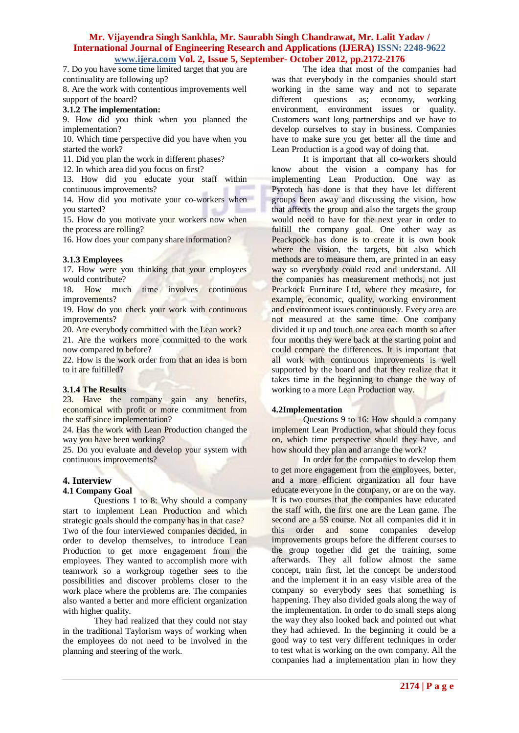7. Do you have some time limited target that you are continuality are following up?

8. Are the work with contentious improvements well support of the board?

### **3.1.2 The implementation:**

9. How did you think when you planned the implementation?

10. Which time perspective did you have when you started the work?

11. Did you plan the work in different phases?

12. In which area did you focus on first?

13. How did you educate your staff within continuous improvements?

14. How did you motivate your co-workers when you started?

15. How do you motivate your workers now when the process are rolling?

16. How does your company share information?

### **3.1.3 Employees**

17. How were you thinking that your employees would contribute?

18. How much time involves continuous improvements?

19. How do you check your work with continuous improvements?

20. Are everybody committed with the Lean work?

21. Are the workers more committed to the work now compared to before?

22. How is the work order from that an idea is born to it are fulfilled?

# **3.1.4 The Results**

23. Have the company gain any benefits, economical with profit or more commitment from the staff since implementation?

24. Has the work with Lean Production changed the way you have been working?

25. Do you evaluate and develop your system with continuous improvements?

# **4. Interview**

### **4.1 Company Goal**

Questions 1 to 8: Why should a company start to implement Lean Production and which strategic goals should the company has in that case? Two of the four interviewed companies decided, in order to develop themselves, to introduce Lean Production to get more engagement from the employees. They wanted to accomplish more with teamwork so a workgroup together sees to the possibilities and discover problems closer to the work place where the problems are. The companies also wanted a better and more efficient organization with higher quality.

They had realized that they could not stay in the traditional Taylorism ways of working when the employees do not need to be involved in the planning and steering of the work.

The idea that most of the companies had was that everybody in the companies should start working in the same way and not to separate different questions as; economy, working environment, environment issues or quality. Customers want long partnerships and we have to develop ourselves to stay in business. Companies have to make sure you get better all the time and Lean Production is a good way of doing that.

It is important that all co-workers should know about the vision a company has for implementing Lean Production. One way as Pyrotech has done is that they have let different groups been away and discussing the vision, how that affects the group and also the targets the group would need to have for the next year in order to fulfill the company goal. One other way as Peackpock has done is to create it is own book where the vision, the targets, but also which methods are to measure them, are printed in an easy way so everybody could read and understand. All the companies has measurement methods, not just Peackock Furniture Ltd, where they measure, for example, economic, quality, working environment and environment issues continuously. Every area are not measured at the same time. One company divided it up and touch one area each month so after four months they were back at the starting point and could compare the differences. It is important that all work with continuous improvements is well supported by the board and that they realize that it takes time in the beginning to change the way of working to a more Lean Production way.

# **4.2Implementation**

Questions 9 to 16: How should a company implement Lean Production, what should they focus on, which time perspective should they have, and how should they plan and arrange the work?

In order for the companies to develop them to get more engagement from the employees, better, and a more efficient organization all four have educate everyone in the company, or are on the way. It is two courses that the companies have educated the staff with, the first one are the Lean game. The second are a 5S course. Not all companies did it in this order and some companies develop improvements groups before the different courses to the group together did get the training, some afterwards. They all follow almost the same concept, train first, let the concept be understood and the implement it in an easy visible area of the company so everybody sees that something is happening. They also divided goals along the way of the implementation. In order to do small steps along the way they also looked back and pointed out what they had achieved. In the beginning it could be a good way to test very different techniques in order to test what is working on the own company. All the companies had a implementation plan in how they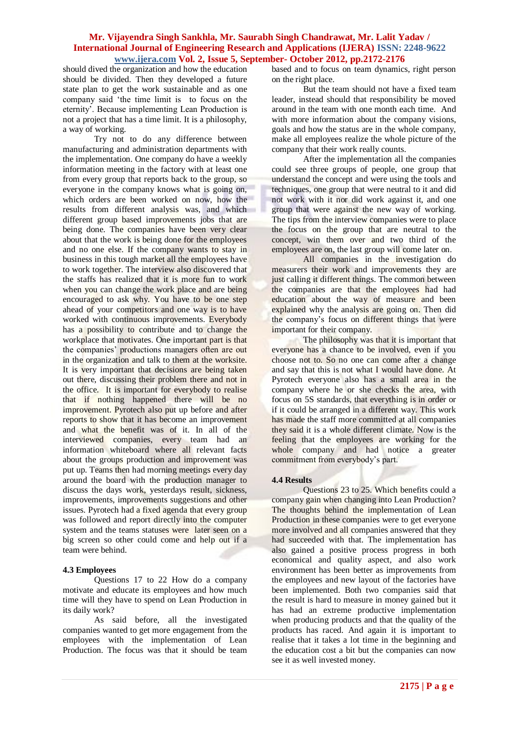should dived the organization and how the education should be divided. Then they developed a future state plan to get the work sustainable and as one company said 'the time limit is to focus on the eternity'. Because implementing Lean Production is not a project that has a time limit. It is a philosophy, a way of working.

Try not to do any difference between manufacturing and administration departments with the implementation. One company do have a weekly information meeting in the factory with at least one from every group that reports back to the group, so everyone in the company knows what is going on, which orders are been worked on now, how the results from different analysis was, and which different group based improvements jobs that are being done. The companies have been very clear about that the work is being done for the employees and no one else. If the company wants to stay in business in this tough market all the employees have to work together. The interview also discovered that the staffs has realized that it is more fun to work when you can change the work place and are being encouraged to ask why. You have to be one step ahead of your competitors and one way is to have worked with continuous improvements. Everybody has a possibility to contribute and to change the workplace that motivates. One important part is that the companies' productions managers often are out in the organization and talk to them at the worksite. It is very important that decisions are being taken out there, discussing their problem there and not in the office. It is important for everybody to realise that if nothing happened there will be no improvement. Pyrotech also put up before and after reports to show that it has become an improvement and what the benefit was of it. In all of the interviewed companies, every team had an information whiteboard where all relevant facts about the groups production and improvement was put up. Teams then had morning meetings every day around the board with the production manager to discuss the days work, yesterdays result, sickness, improvements, improvements suggestions and other issues. Pyrotech had a fixed agenda that every group was followed and report directly into the computer system and the teams statuses were later seen on a big screen so other could come and help out if a team were behind.

### **4.3 Employees**

Questions 17 to 22 How do a company motivate and educate its employees and how much time will they have to spend on Lean Production in its daily work?

As said before, all the investigated companies wanted to get more engagement from the employees with the implementation of Lean Production. The focus was that it should be team based and to focus on team dynamics, right person on the right place.

But the team should not have a fixed team leader, instead should that responsibility be moved around in the team with one month each time. And with more information about the company visions, goals and how the status are in the whole company, make all employees realize the whole picture of the company that their work really counts.

After the implementation all the companies could see three groups of people, one group that understand the concept and were using the tools and techniques, one group that were neutral to it and did not work with it nor did work against it, and one group that were against the new way of working. The tips from the interview companies were to place the focus on the group that are neutral to the concept, win them over and two third of the employees are on, the last group will come later on.

All companies in the investigation do measurers their work and improvements they are just calling it different things. The common between the companies are that the employees had had education about the way of measure and been explained why the analysis are going on. Then did the company's focus on different things that were important for their company.

The philosophy was that it is important that everyone has a chance to be involved, even if you choose not to. So no one can come after a change and say that this is not what I would have done. At Pyrotech everyone also has a small area in the company where he or she checks the area, with focus on 5S standards, that everything is in order or if it could be arranged in a different way. This work has made the staff more committed at all companies they said it is a whole different climate. Now is the feeling that the employees are working for the whole company and had notice a greater commitment from everybody's part.

### **4.4 Results**

Questions 23 to 25. Which benefits could a company gain when changing into Lean Production? The thoughts behind the implementation of Lean Production in these companies were to get everyone more involved and all companies answered that they had succeeded with that. The implementation has also gained a positive process progress in both economical and quality aspect, and also work environment has been better as improvements from the employees and new layout of the factories have been implemented. Both two companies said that the result is hard to measure in money gained but it has had an extreme productive implementation when producing products and that the quality of the products has raced. And again it is important to realise that it takes a lot time in the beginning and the education cost a bit but the companies can now see it as well invested money.